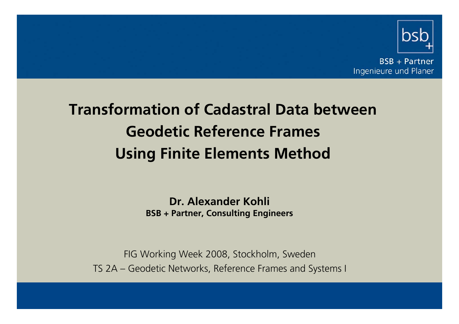

**BSB + Partner** Ingenieure und Planer

# **Transformation of Cadastral Data betweenGeodetic Reference FramesUsing Finite Elements Method**

**Dr. Alexander KohliBSB <sup>+</sup> Partner, Consulting Engineers**

FIG Working Week 2008, Stockholm, Sweden TS 2A – Geodetic Networks, Reference Frames and Systems I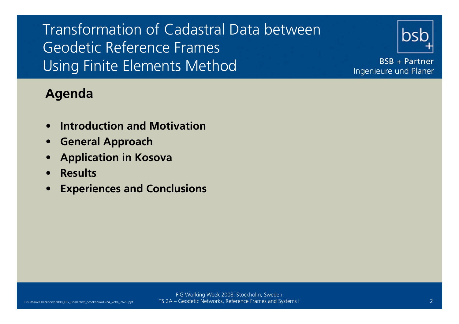

**BSB + Partner** Ingenieure und Planer

#### **Agenda**

- •**Introduction and Motivation**
- •**General Approach**
- •**Application in Kosova**
- •**Results**
- •**Experiences and Conclusions**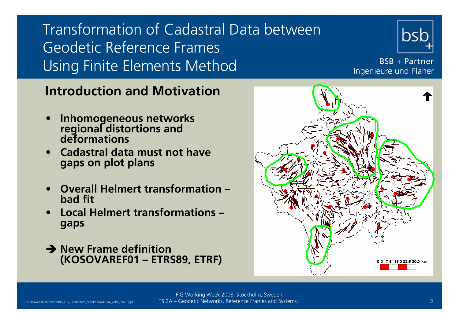

**BSB + Partner** Ingenieure und Planer

#### **Introduction and Motivation**

- •**Inhomogeneous networks regional distortions and deformations**
- • **Cadastral data must not havegaps on plot plans**
- • **Overall Helmert transformation – bad fit**
- • **Local Helmert transformations – gaps**
- **→ New Frame definition (KOSOVAREF01 – ETRS89, ETRF)**

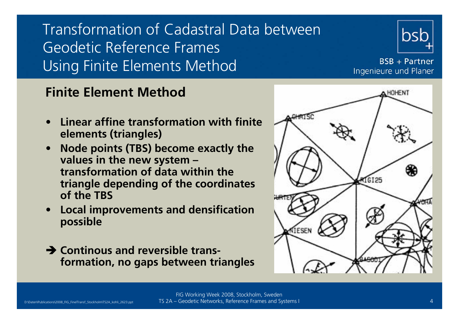

**BSB + Partner** Ingenieure und Planer

#### **Finite Element Method**

- • **Linear affine transformation with finite elements (triangles)**
- • **Node points (TBS) become exactly the values in the new system – transformation of data within the triangle depending of the coordinates of the TBS**
- • **Local improvements and densification possible**
- **→ Continous and reversible transformation, no gaps between triangles**

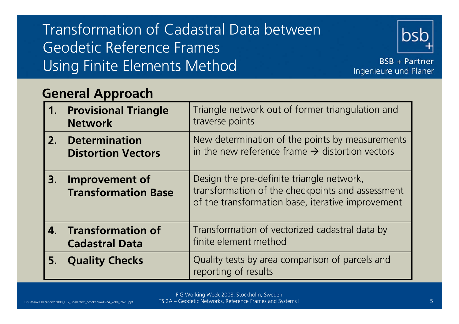

**BSB + Partner** Ingenieure und Planer

#### **General Approach**

| 1. | <b>Provisional Triangle</b><br><b>Network</b> | Triangle network out of former triangulation and<br>traverse points                                                                                |
|----|-----------------------------------------------|----------------------------------------------------------------------------------------------------------------------------------------------------|
|    | 2. Determination<br><b>Distortion Vectors</b> | New determination of the points by measurements<br>in the new reference frame $\rightarrow$ distortion vectors                                     |
| 3. | Improvement of<br><b>Transformation Base</b>  | Design the pre-definite triangle network,<br>transformation of the checkpoints and assessment<br>of the transformation base, iterative improvement |
|    | 4. Transformation of<br><b>Cadastral Data</b> | Transformation of vectorized cadastral data by<br>finite element method                                                                            |
| 5. | <b>Quality Checks</b>                         | Quality tests by area comparison of parcels and<br>reporting of results                                                                            |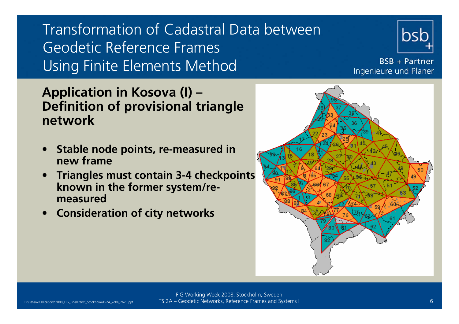

**BSB + Partner** Ingenieure und Planer

#### **Application in Kosova (I) – Definition of provisional triangle network**

- • **Stable node points, re-measured in new frame**
- • **Triangles must contain 3-4 checkpoints known in the former system/remeasured**
- •**Consideration of city networks**

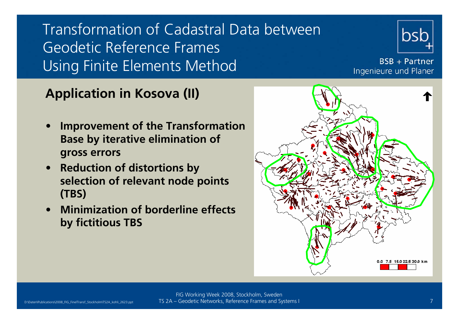

**BSB** + Partner Ingenieure und Planer

#### **Application in Kosova (II)**

- • **Improvement of the Transformation Base by iterative elimination of gross errors**
- • **Reduction of distortions by selection of relevant node points (TBS)**
- **Minimization of borderline effects by fictitious TBS**

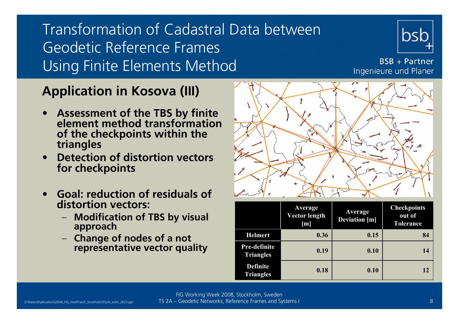

**BSB** + Partner Ingenieure und Planer

### **Application in Kosova (III)**

- • **Assessment of the TBS by finite element method transformation of the checkpoints within the triangles**
- • **Detection of distortion vectors for checkpoints**
- • **Goal: reduction of residuals of distortion vectors:**
	- **Modification of TBS by visual approach**
	- **Change of nodes of a not representative vector quality**



|                                     | Average<br>Vector length<br>[m] | Average<br><b>Deviation</b> [m] | <b>Checkpoints</b><br>out of<br><b>Tolerance</b> |
|-------------------------------------|---------------------------------|---------------------------------|--------------------------------------------------|
| <b>Helmert</b>                      | 0.36                            | 0.15                            | 84                                               |
| Pre-definite<br><b>Triangles</b>    | 0.19                            | 0.10                            | 14                                               |
| <b>Definite</b><br><b>Triangles</b> | 0.18                            | 0.10                            | 12                                               |

FIG Working Week 2008, Stockholm, Sweden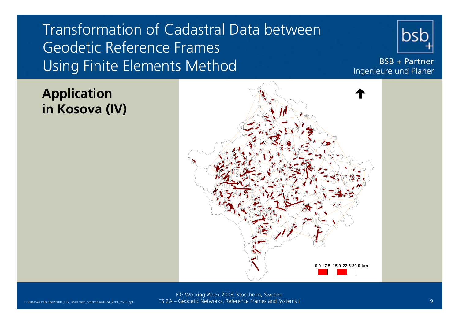

**BSB + Partner** Ingenieure und Planer

### **Application in Kosova (IV)**

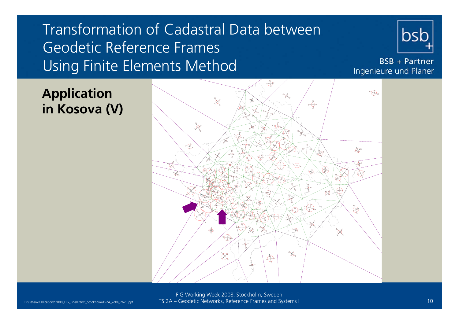

**BSB + Partner** Ingenieure und Planer

#### **Application in Kosova (V)**

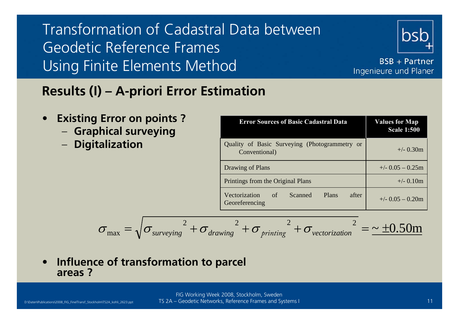

**BSB + Partner** Ingenieure und Planer

### **Results (I) – A-priori Error Estimation**

- • **Existing Error on points ?**
	- **Graphical surveying**
	- **Digitalization**

| <b>Error Sources of Basic Cadastral Data</b>                         | <b>Values for Map</b><br><b>Scale 1:500</b> |  |
|----------------------------------------------------------------------|---------------------------------------------|--|
| Quality of Basic Surveying (Photogrammetry or<br>Conventional)       | $+/- 0.30m$                                 |  |
| Drawing of Plans                                                     | $+/-$ 0.05 $-$ 0.25m                        |  |
| Printings from the Original Plans                                    | $+/- 0.10m$                                 |  |
| Vectorization<br>Scanned<br>Plans<br>- of<br>after<br>Georeferencing | $+/-$ 0.05 $-$ 0.20m                        |  |

$$
\sigma_{\text{max}} = \sqrt{\sigma_{\text{surveying}}^2 + \sigma_{\text{drawing}}^2 + \sigma_{\text{primitive}}^2 + \sigma_{\text{vectorization}}^2} = \sim \pm 0.50 \text{m}
$$

• **Influence of transformation to parcel areas ?**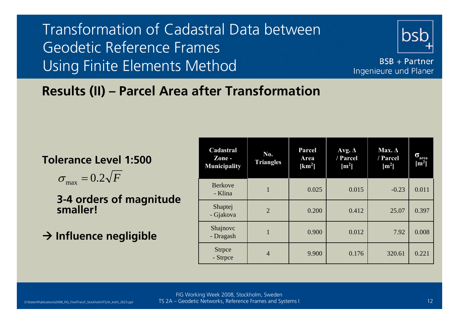

**BSB + Partner** Ingenieure und Planer

### **Results (II) – Parcel Area after Transformation**

#### **Tolerance Level 1:500**

 $\sigma_{\text{max}} = 0.2 \sqrt{F}$ 

**3-4 orders of magnitude smaller!**

**→ Influence negligible** 

| Cadastral<br>Zone-<br><b>Municipality</b> | No.<br><b>Triangles</b> | Parcel<br>Area<br>[km <sup>2</sup> ] | Avg. $\Delta$<br>/ Parcel<br>$\mathrm{[m^2]}$ | Max. $\Delta$<br>/ Parcel<br>$\rm [m^2]$ | σ<br>area<br>$\lceil m^2 \rceil$ |
|-------------------------------------------|-------------------------|--------------------------------------|-----------------------------------------------|------------------------------------------|----------------------------------|
| <b>Berkove</b><br>- Klina                 | $\mathbf{1}$            | 0.025                                | 0.015                                         | $-0.23$                                  | 0.011                            |
| Shaptej<br>- Gjakova                      | $\overline{2}$          | 0.200                                | 0.412                                         | 25.07                                    | 0.397                            |
| Shajnovc<br>- Dragash                     | 1                       | 0.900                                | 0.012                                         | 7.92                                     | 0.008                            |
| <b>Strpce</b><br>- Strpce                 | $\overline{4}$          | 9.900                                | 0.176                                         | 320.61                                   | 0.221                            |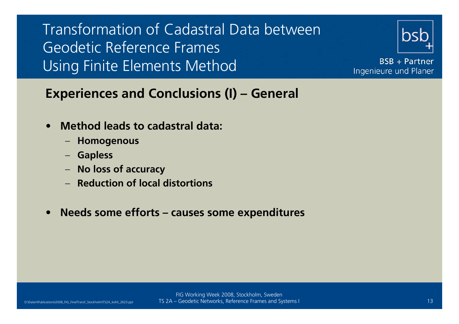

**BSB + Partner** Ingenieure und Planer

#### **Experiences and Conclusions (I) – General**

- • **Method leads to cadastral data:**
	- **Homogenous**
	- **Gapless**
	- **No loss of accuracy**
	- **Reduction of local distortions**
- •**Needs some efforts – causes some expenditures**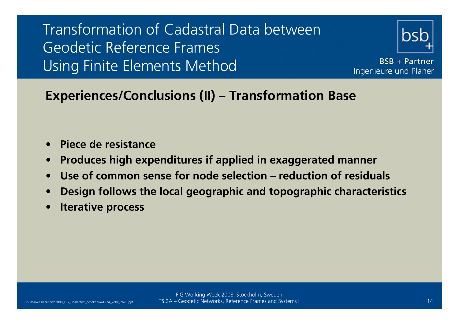

**BSB + Partner** Ingenieure und Planer

#### **Experiences/Conclusions (II) – Transformation Base**

- •**Piece de resistance**
- •**Produces high expenditures if applied in exaggerated manner**
- •**Use of common sense for node selection – reduction of residuals**
- •**Design follows the local geographic and topographic characteristics**
- •**Iterative process**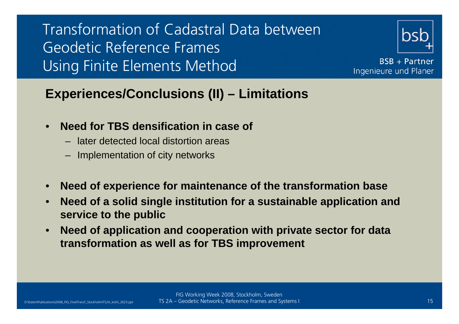

**BSB + Partner** Ingenieure und Planer

### **Experiences/Conclusions (II) – Limitations**

- • **Need for TBS densification in case of** 
	- later detected local distortion areas
	- Implementation of city networks
- •**Need of experience for maintenance of the transformation base**
- • **Need of a solid single institution for a sustainable application and service to the public**
- • **Need of application and cooperation with private sector for data transformation as well as for TBS improvement**